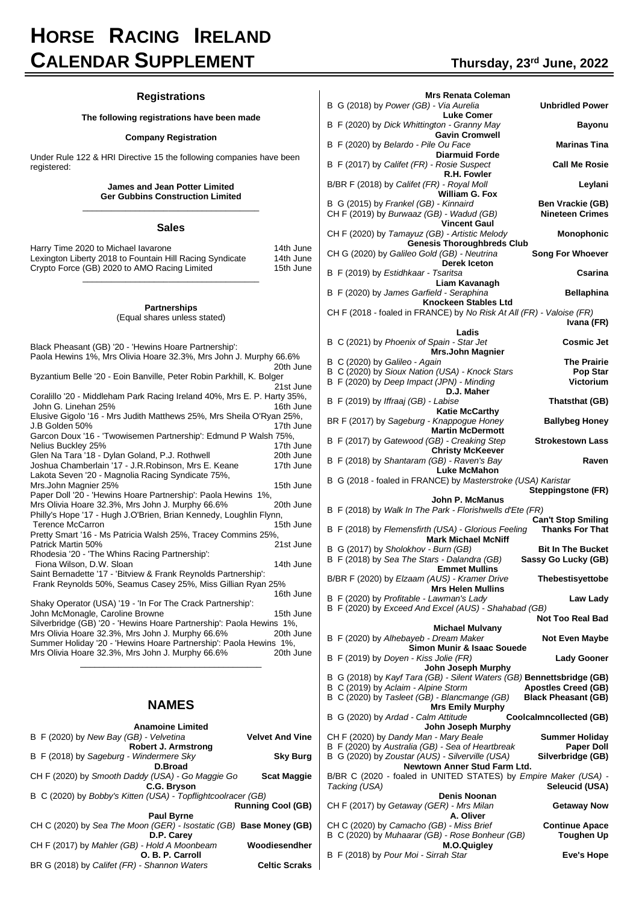# **HORSE RACING IRELAND CALENDAR SUPPLEMENT Thursday, <sup>23</sup>rd June, 2022**

### **Registrations**

### **The following registrations have been made**

#### **Company Registration**

Under Rule 122 & HRI Directive 15 the following companies have been registered:

#### **James and Jean Potter Limited Ger Gubbins Construction Limited** \_\_\_\_\_\_\_\_\_\_\_\_\_\_\_\_\_\_\_\_\_\_\_\_\_\_\_\_\_\_\_\_\_\_\_\_\_

#### **Sales**

| Harry Time 2020 to Michael lavarone<br>Lexington Liberty 2018 to Fountain Hill Racing Syndicate | 14th June<br>14th June |
|-------------------------------------------------------------------------------------------------|------------------------|
| Crypto Force (GB) 2020 to AMO Racing Limited                                                    | 15th June              |
|                                                                                                 |                        |

#### **Partnerships**

### (Equal shares unless stated)

| Black Pheasant (GB) '20 - 'Hewins Hoare Partnership':                                          |           |  |  |  |
|------------------------------------------------------------------------------------------------|-----------|--|--|--|
| Paola Hewins 1%, Mrs Olivia Hoare 32.3%, Mrs John J. Murphy 66.6%                              |           |  |  |  |
|                                                                                                | 20th June |  |  |  |
| Byzantium Belle '20 - Eoin Banville, Peter Robin Parkhill, K. Bolger                           |           |  |  |  |
|                                                                                                | 21st June |  |  |  |
| Coralillo '20 - Middleham Park Racing Ireland 40%, Mrs E. P. Harty 35%,<br>John G. Linehan 25% | 16th June |  |  |  |
| Elusive Gigolo '16 - Mrs Judith Matthews 25%, Mrs Sheila O'Ryan 25%,                           |           |  |  |  |
| J.B Golden 50%                                                                                 | 17th June |  |  |  |
| Garcon Doux '16 - 'Twowisemen Partnership': Edmund P Walsh 75%,                                |           |  |  |  |
| Nelius Buckley 25%                                                                             | 17th June |  |  |  |
| Glen Na Tara '18 - Dylan Goland, P.J. Rothwell                                                 | 20th June |  |  |  |
| Joshua Chamberlain '17 - J.R.Robinson, Mrs E. Keane                                            | 17th June |  |  |  |
| Lakota Seven '20 - Magnolia Racing Syndicate 75%,                                              |           |  |  |  |
| Mrs.John Magnier 25%                                                                           | 15th June |  |  |  |
| Paper Doll '20 - 'Hewins Hoare Partnership': Paola Hewins 1%,                                  |           |  |  |  |
| Mrs Olivia Hoare 32.3%, Mrs John J. Murphy 66.6%                                               | 20th June |  |  |  |
| Philly's Hope '17 - Hugh J.O'Brien, Brian Kennedy, Loughlin Flynn,                             |           |  |  |  |
| <b>Terence McCarron</b>                                                                        | 15th June |  |  |  |
| Pretty Smart '16 - Ms Patricia Walsh 25%, Tracey Commins 25%,                                  |           |  |  |  |
|                                                                                                |           |  |  |  |
| Patrick Martin 50%                                                                             | 21st June |  |  |  |
| Rhodesia '20 - 'The Whins Racing Partnership':                                                 |           |  |  |  |
| Fiona Wilson, D.W. Sloan                                                                       | 14th June |  |  |  |
| Saint Bernadette '17 - 'Bitview & Frank Reynolds Partnership':                                 |           |  |  |  |
| Frank Reynolds 50%, Seamus Casey 25%, Miss Gillian Ryan 25%                                    |           |  |  |  |
|                                                                                                | 16th June |  |  |  |
| Shaky Operator (USA) '19 - 'In For The Crack Partnership':                                     |           |  |  |  |
| John McMonagle, Caroline Browne                                                                | 15th June |  |  |  |
| Silverbridge (GB) '20 - 'Hewins Hoare Partnership': Paola Hewins 1%,                           |           |  |  |  |
| Mrs Olivia Hoare 32.3%, Mrs John J. Murphy 66.6%                                               | 20th June |  |  |  |
| Summer Holiday '20 - 'Hewins Hoare Partnership': Paola Hewins 1%,                              |           |  |  |  |
| Mrs Olivia Hoare 32.3%, Mrs John J. Murphy 66.6%                                               | 20th June |  |  |  |

## **NAMES**

\_\_\_\_\_\_\_\_\_\_\_\_\_\_\_\_\_\_\_\_\_\_\_\_\_\_\_\_\_\_\_\_\_\_\_\_\_\_

| <b>Anamoine Limited</b>                                            |                        |  |  |
|--------------------------------------------------------------------|------------------------|--|--|
| B F (2020) by New Bay (GB) - Velvetina                             | <b>Velvet And Vine</b> |  |  |
| Robert J. Armstrong                                                |                        |  |  |
| B F (2018) by Sageburg - Windermere Sky                            | <b>Sky Burg</b>        |  |  |
| D.Broad                                                            |                        |  |  |
| CH F (2020) by Smooth Daddy (USA) - Go Maggie Go                   | <b>Scat Maggie</b>     |  |  |
| C.G. Bryson                                                        |                        |  |  |
| B C (2020) by Bobby's Kitten (USA) - Topflightcoolracer (GB)       |                        |  |  |
| <b>Running Cool (GB)</b>                                           |                        |  |  |
| <b>Paul Byrne</b>                                                  |                        |  |  |
| CH C (2020) by Sea The Moon (GER) - Isostatic (GB) Base Money (GB) |                        |  |  |
| D.P. Carey                                                         |                        |  |  |
| CH F (2017) by Mahler (GB) - Hold A Moonbeam                       | Woodiesendher          |  |  |
| O. B. P. Carroll                                                   |                        |  |  |
| BR G (2018) by Califet (FR) - Shannon Waters                       | <b>Celtic Scraks</b>   |  |  |

| B G (2018) by Power (GB) - Via Aurelia                                                                         | Mrs Renata Coleman                                       |  |  |  |  |
|----------------------------------------------------------------------------------------------------------------|----------------------------------------------------------|--|--|--|--|
| <b>Luke Comer</b>                                                                                              | <b>Unbridled Power</b>                                   |  |  |  |  |
| B F (2020) by Dick Whittington - Granny May<br><b>Gavin Cromwell</b>                                           | <b>Bayonu</b>                                            |  |  |  |  |
| B F (2020) by Belardo - Pile Ou Face<br><b>Diarmuid Forde</b>                                                  | <b>Marinas Tina</b>                                      |  |  |  |  |
| B F (2017) by Califet (FR) - Rosie Suspect                                                                     | <b>Call Me Rosie</b>                                     |  |  |  |  |
| R.H. Fowler<br>B/BR F (2018) by Califet (FR) - Royal Moll                                                      | Leylani                                                  |  |  |  |  |
| William G. Fox<br>B G (2015) by Frankel (GB) - Kinnaird<br>CH F (2019) by Burwaaz (GB) - Wadud (GB)            | <b>Ben Vrackie (GB)</b><br><b>Nineteen Crimes</b>        |  |  |  |  |
| <b>Vincent Gaul</b><br>CH F (2020) by Tamayuz (GB) - Artistic Melody<br><b>Genesis Thoroughbreds Club</b>      | <b>Monophonic</b>                                        |  |  |  |  |
| CH G (2020) by Galileo Gold (GB) - Neutrina<br><b>Derek Iceton</b>                                             | <b>Song For Whoever</b>                                  |  |  |  |  |
| B F (2019) by Estidhkaar - Tsaritsa<br>Liam Kavanagh                                                           | Csarina                                                  |  |  |  |  |
| B F (2020) by James Garfield - Seraphina                                                                       | <b>Bellaphina</b>                                        |  |  |  |  |
| <b>Knockeen Stables Ltd</b>                                                                                    |                                                          |  |  |  |  |
| CH F (2018 - foaled in FRANCE) by No Risk At All (FR) - Valoise (FR)                                           | Ivana (FR)                                               |  |  |  |  |
| Ladis<br>B C (2021) by Phoenix of Spain - Star Jet                                                             |                                                          |  |  |  |  |
| Mrs.John Magnier                                                                                               | <b>Cosmic Jet</b>                                        |  |  |  |  |
| B C (2020) by Galileo - Again                                                                                  | <b>The Prairie</b>                                       |  |  |  |  |
| B C (2020) by Sioux Nation (USA) - Knock Stars<br>B F (2020) by Deep Impact (JPN) - Minding                    | <b>Pop Star</b><br>Victorium                             |  |  |  |  |
| D.J. Maher                                                                                                     |                                                          |  |  |  |  |
| B F (2019) by Iffraaj (GB) - Labise                                                                            | Thatsthat (GB)                                           |  |  |  |  |
| <b>Katie McCarthy</b><br>BR F (2017) by Sageburg - Knappogue Honey                                             | <b>Ballybeg Honey</b>                                    |  |  |  |  |
| <b>Martin McDermott</b><br>B F (2017) by Gatewood (GB) - Creaking Step                                         | <b>Strokestown Lass</b>                                  |  |  |  |  |
| <b>Christy McKeever</b><br>B F (2018) by Shantaram (GB) - Raven's Bay                                          | Raven                                                    |  |  |  |  |
|                                                                                                                | <b>Luke McMahon</b>                                      |  |  |  |  |
| B G (2018 - foaled in FRANCE) by Masterstroke (USA) Karistar                                                   |                                                          |  |  |  |  |
|                                                                                                                | Steppingstone (FR)                                       |  |  |  |  |
| John P. McManus                                                                                                |                                                          |  |  |  |  |
| B F (2018) by Walk In The Park - Florishwells d'Ete (FR)                                                       |                                                          |  |  |  |  |
| B F (2018) by Flemensfirth (USA) - Glorious Feeling                                                            | <b>Can't Stop Smiling</b><br><b>Thanks For That</b>      |  |  |  |  |
| <b>Mark Michael McNiff</b><br>B G (2017) by Sholokhov - Burn (GB)                                              | <b>Bit In The Bucket</b>                                 |  |  |  |  |
| B F (2018) by Sea The Stars - Dalandra (GB)<br><b>Emmet Mullins</b>                                            | Sassy Go Lucky (GB)                                      |  |  |  |  |
| B/BR F (2020) by Elzaam (AUS) - Kramer Drive<br><b>Mrs Helen Mullins</b>                                       | Thebestisyettobe                                         |  |  |  |  |
| B F (2020) by Profitable - Lawman's Lady<br>B F (2020) by Exceed And Excel (AUS) - Shahabad (GB)               | Law Lady                                                 |  |  |  |  |
|                                                                                                                | <b>Not Too Real Bad</b>                                  |  |  |  |  |
| Michael Mulvany<br>B F (2020) by Alhebayeb - Dream Maker                                                       | <b>Not Even Maybe</b>                                    |  |  |  |  |
| Simon Munir & Isaac Souede<br>B F (2019) by Doyen - Kiss Jolie (FR)                                            | <b>Lady Gooner</b>                                       |  |  |  |  |
| John Joseph Murphy                                                                                             |                                                          |  |  |  |  |
| B G (2018) by Kayf Tara (GB) - Silent Waters (GB) Bennettsbridge (GB)                                          |                                                          |  |  |  |  |
| B C (2019) by Aclaim - Alpine Storm                                                                            | <b>Apostles Creed (GB)</b><br><b>Black Pheasant (GB)</b> |  |  |  |  |
| B C (2020) by Tasleet (GB) - Blancmange (GB)<br><b>Mrs Emily Murphy</b><br>B G (2020) by Ardad - Calm Attitude | Coolcalmncollected (GB)                                  |  |  |  |  |
| John Joseph Murphy                                                                                             |                                                          |  |  |  |  |
| CH F (2020) by Dandy Man - Mary Beale                                                                          | Summer Holiday                                           |  |  |  |  |
| B F (2020) by Australia (GB) - Sea of Heartbreak<br>B G (2020) by Zoustar (AUS) - Silverville (USA)            | <b>Paper Doll</b><br>Silverbridge (GB)                   |  |  |  |  |
| Newtown Anner Stud Farm Ltd.<br>B/BR C (2020 - foaled in UNITED STATES) by Empire Maker (USA) -                |                                                          |  |  |  |  |
| Tacking (USA)<br>Denis Noonan                                                                                  | Seleucid (USA)                                           |  |  |  |  |
| CH F (2017) by Getaway (GER) - Mrs Milan<br>A. Oliver                                                          | Getaway Now                                              |  |  |  |  |
| CH C (2020) by Camacho (GB) - Miss Brief<br>B C (2020) by Muhaarar (GB) - Rose Bonheur (GB)<br>M.O.Quigley     | <b>Continue Apace</b><br><b>Toughen Up</b>               |  |  |  |  |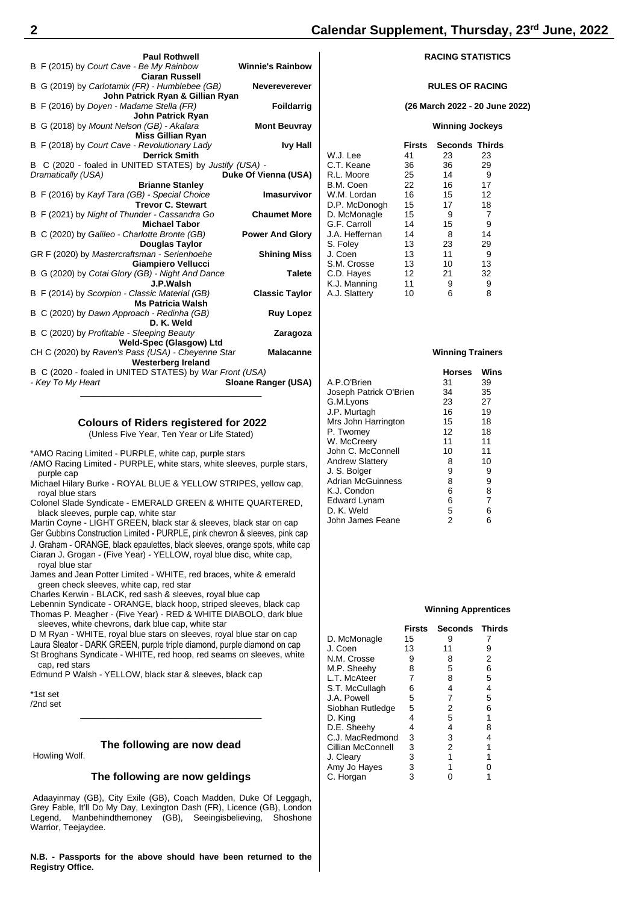#### **RULES OF RACING**

**(26 March 2022 - 20 June 2022)**

### **Winning Jockeys**

|   | VVIIIIIIIIY JUCKEYS |        |                       |    |  |
|---|---------------------|--------|-----------------------|----|--|
|   |                     | Firsts | <b>Seconds Thirds</b> |    |  |
|   | W.J. Lee            | 41     | 23                    | 23 |  |
|   | C.T. Keane          | 36     | 36                    | 29 |  |
|   | R.L. Moore          | 25     | 14                    | 9  |  |
|   | B.M. Coen           | 22     | 16                    | 17 |  |
|   | W.M. Lordan         | 16     | 15                    | 12 |  |
|   | D.P. McDonogh       | 15     | 17                    | 18 |  |
| ì | D. McMonagle        | 15     | 9                     | 7  |  |
|   | G.F. Carroll        | 14     | 15                    | 9  |  |
| ı | J.A. Heffernan      | 14     | 8                     | 14 |  |
|   | S. Foley            | 13     | 23                    | 29 |  |
| ì | J. Coen             | 13     | 11                    | 9  |  |
|   | S.M. Crosse         | 13     | 10                    | 13 |  |
| ì | C.D. Hayes          | 12     | 21                    | 32 |  |
|   | K.J. Manning        | 11     | 9                     | 9  |  |
|   | A.J. Slattery       | 10     | 6                     | 8  |  |
|   |                     |        |                       |    |  |

|                        | <b>Horses</b> | Wins |
|------------------------|---------------|------|
| A.P.O'Brien            | 31            | 39   |
| Joseph Patrick O'Brien | 34            | 35   |
| G.M.Lyons              | 23            | 27   |
| J.P. Murtagh           | 16            | 19   |
| Mrs John Harrington    | 15            | 18   |
| P. Twomey              | 12            | 18   |
| W. McCreery            | 11            | 11   |
| John C. McConnell      | 10            | 11   |
| <b>Andrew Slattery</b> | 8             | 10   |
| J. S. Bolger           | 9             | 9    |
| Adrian McGuinness      | 8             | 9    |
| K.J. Condon            | 6             | 8    |
| Edward Lynam           | 6             | 7    |
| D. K. Weld             | 5             | 6    |
| John James Feane       | 2             | 6    |

#### **Winning Apprentices**

| <b>Seconds</b><br>Firsts    | Thirds |
|-----------------------------|--------|
| D. McMonagle<br>15<br>9     |        |
| J. Coen<br>13<br>11         | 9      |
| N.M. Crosse<br>8<br>9       | 2      |
| M.P. Sheehy<br>5<br>8       | 6      |
| L.T. McAteer<br>7<br>8      | 5      |
| S.T. McCullagh<br>6<br>4    | 4      |
| J.A. Powell<br>5<br>7       | 5      |
| Siobhan Rutledge<br>5<br>2  | 6      |
| D. King<br>5<br>4           | 1      |
| D.E. Sheehy<br>4<br>4       | 8      |
| C.J. MacRedmond<br>3<br>3   | 4      |
| Cillian McConnell<br>2<br>3 |        |
| 3<br>1<br>J. Cleary         |        |
| Amy Jo Hayes<br>3           |        |
| C. Horgan<br>3              |        |

|                    | <b>Paul Rothwell</b>                                              |                         |
|--------------------|-------------------------------------------------------------------|-------------------------|
|                    | B F (2015) by Court Cave - Be My Rainbow<br><b>Ciaran Russell</b> | <b>Winnie's Rainbow</b> |
|                    | B G (2019) by Carlotamix (FR) - Humblebee (GB)                    | <b>Nevereverever</b>    |
|                    | John Patrick Ryan & Gillian Ryan                                  |                         |
|                    | B F (2016) by Doyen - Madame Stella (FR)                          | <b>Foildarrig</b>       |
|                    | <b>John Patrick Rvan</b>                                          |                         |
|                    | B G (2018) by Mount Nelson (GB) - Akalara                         | <b>Mont Beuvray</b>     |
|                    | <b>Miss Gillian Ryan</b>                                          |                         |
|                    | B F (2018) by Court Cave - Revolutionary Lady                     | <b>Ivy Hall</b>         |
|                    | <b>Derrick Smith</b>                                              |                         |
|                    | B C (2020 - foaled in UNITED STATES) by Justify (USA) -           |                         |
| Dramatically (USA) |                                                                   | Duke Of Vienna (USA)    |
|                    | <b>Brianne Stanley</b>                                            |                         |
|                    | B F (2016) by Kayf Tara (GB) - Special Choice                     | Imasurvivor             |
|                    | <b>Trevor C. Stewart</b>                                          |                         |
|                    | B F (2021) by Night of Thunder - Cassandra Go                     | <b>Chaumet More</b>     |
|                    | <b>Michael Tabor</b>                                              |                         |
|                    | B C (2020) by Galileo - Charlotte Bronte (GB)                     | <b>Power And Glory</b>  |
|                    | <b>Douglas Taylor</b>                                             |                         |
|                    | GR F (2020) by Mastercraftsman - Serienhoehe                      | <b>Shining Miss</b>     |
|                    | <b>Giampiero Vellucci</b>                                         |                         |
|                    | B G (2020) by Cotai Glory (GB) - Night And Dance                  | <b>Talete</b>           |
|                    | J.P.Walsh                                                         |                         |
|                    | B F (2014) by Scorpion - Classic Material (GB)                    | <b>Classic Taylor</b>   |
|                    | <b>Ms Patricia Walsh</b>                                          |                         |
|                    | B C (2020) by Dawn Approach - Redinha (GB)                        | <b>Ruy Lopez</b>        |
|                    | D. K. Weld                                                        |                         |
|                    | B C (2020) by Profitable - Sleeping Beauty                        | Zaragoza                |
|                    | Weld-Spec (Glasgow) Ltd                                           |                         |
|                    | CH C (2020) by Raven's Pass (USA) - Cheyenne Star                 | <b>Malacanne</b>        |
|                    | Westerberg Ireland                                                |                         |
|                    | B C (2020 - foaled in UNITED STATES) by War Front (USA)           |                         |
| - Key To My Heart  |                                                                   | Sloane Ranger (USA)     |
|                    |                                                                   |                         |
|                    |                                                                   |                         |

### **Colours of Riders registered for 2022**

(Unless Five Year, Ten Year or Life Stated)

\*AMO Racing Limited - PURPLE, white cap, purple stars

/AMO Racing Limited - PURPLE, white stars, white sleeves, purple stars, purple cap

Michael Hilary Burke - ROYAL BLUE & YELLOW STRIPES, yellow cap, royal blue stars

Colonel Slade Syndicate - EMERALD GREEN & WHITE QUARTERED, black sleeves, purple cap, white star

Martin Coyne - LIGHT GREEN, black star & sleeves, black star on cap Ger Gubbins Construction Limited - PURPLE, pink chevron & sleeves, pink cap J. Graham - ORANGE, black epaulettes, black sleeves, orange spots, white cap

Ciaran J. Grogan - (Five Year) - YELLOW, royal blue disc, white cap, royal blue star

James and Jean Potter Limited - WHITE, red braces, white & emerald green check sleeves, white cap, red star

Charles Kerwin - BLACK, red sash & sleeves, royal blue cap

Lebennin Syndicate - ORANGE, black hoop, striped sleeves, black cap Thomas P. Meagher - (Five Year) - RED & WHITE DIABOLO, dark blue sleeves, white chevrons, dark blue cap, white star

D M Ryan - WHITE, royal blue stars on sleeves, royal blue star on cap Laura Sleator - DARK GREEN, purple triple diamond, purple diamond on cap St Broghans Syndicate - WHITE, red hoop, red seams on sleeves, white cap, red stars

Edmund P Walsh - YELLOW, black star & sleeves, black cap

\*1st set /2nd set

### **The following are now dead**

\_\_\_\_\_\_\_\_\_\_\_\_\_\_\_\_\_\_\_\_\_\_\_\_\_\_\_\_\_\_\_\_\_\_\_\_\_\_

Howling Wolf.

### **The following are now geldings**

Adaayinmay (GB), City Exile (GB), Coach Madden, Duke Of Leggagh, Grey Fable, It'll Do My Day, Lexington Dash (FR), Licence (GB), London Legend, Manbehindthemoney (GB), Seeingisbelieving, Shoshone Warrior, Teejaydee.

**N.B. - Passports for the above should have been returned to the Registry Office.**